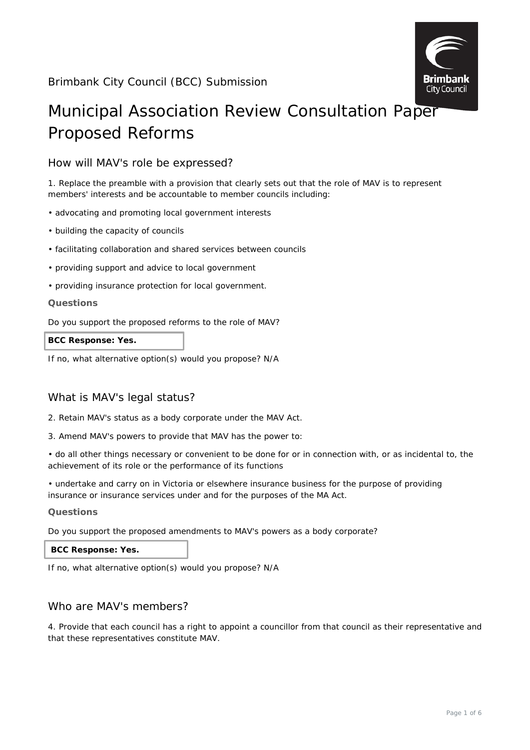

# Municipal Association Review Consultation Paper Proposed Reforms

# How will MAV's role be expressed?

1. Replace the preamble with a provision that clearly sets out that the role of MAV is to represent members' interests and be accountable to member councils including:

- advocating and promoting local government interests
- building the capacity of councils
- facilitating collaboration and shared services between councils
- providing support and advice to local government
- providing insurance protection for local government.

# **Questions**

Do you support the proposed reforms to the role of MAV?

**BCC Response: Yes.**

If no, what alternative option(s) would you propose? N/A

# What is MAV's legal status?

- 2. Retain MAV's status as a body corporate under the MAV Act.
- 3. Amend MAV's powers to provide that MAV has the power to:

• do all other things necessary or convenient to be done for or in connection with, or as incidental to, the achievement of its role or the performance of its functions

• undertake and carry on in Victoria or elsewhere insurance business for the purpose of providing insurance or insurance services under and for the purposes of the MA Act.

#### **Questions**

Do you support the proposed amendments to MAV's powers as a body corporate?

# **BCC Response: Yes.**

If no, what alternative option(s) would you propose? N/A

# Who are MAV's members?

4. Provide that each council has a right to appoint a councillor from that council as their representative and that these representatives constitute MAV.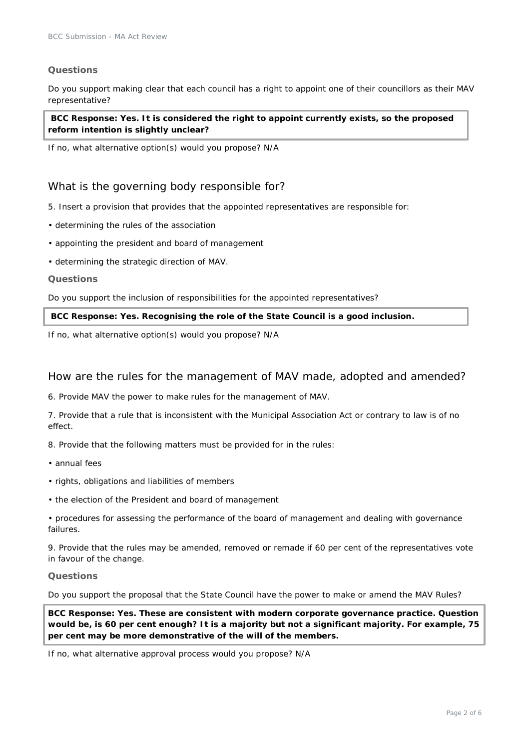## **Questions**

Do you support making clear that each council has a right to appoint one of their councillors as their MAV representative?

**BCC Response: Yes. It is considered the right to appoint currently exists, so the proposed reform intention is slightly unclear?**

If no, what alternative option(s) would you propose? N/A

# What is the governing body responsible for?

- 5. Insert a provision that provides that the appointed representatives are responsible for:
- determining the rules of the association
- appointing the president and board of management
- determining the strategic direction of MAV.

#### **Questions**

Do you support the inclusion of responsibilities for the appointed representatives?

#### **BCC Response: Yes. Recognising the role of the State Council is a good inclusion.**

If no, what alternative option(s) would you propose? N/A

# How are the rules for the management of MAV made, adopted and amended?

6. Provide MAV the power to make rules for the management of MAV.

7. Provide that a rule that is inconsistent with the Municipal Association Act or contrary to law is of no effect.

8. Provide that the following matters must be provided for in the rules:

- annual fees
- rights, obligations and liabilities of members
- the election of the President and board of management
- procedures for assessing the performance of the board of management and dealing with governance failures.

9. Provide that the rules may be amended, removed or remade if 60 per cent of the representatives vote in favour of the change.

#### **Questions**

Do you support the proposal that the State Council have the power to make or amend the MAV Rules?

**BCC Response: Yes. These are consistent with modern corporate governance practice. Question would be, is 60 per cent enough? It is a majority but not a significant majority. For example, 75 per cent may be more demonstrative of the will of the members.**

If no, what alternative approval process would you propose? N/A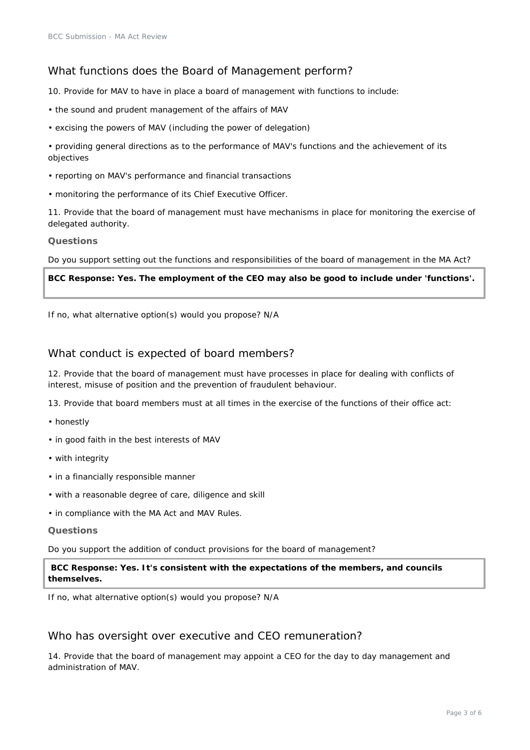# What functions does the Board of Management perform?

10. Provide for MAV to have in place a board of management with functions to include:

- the sound and prudent management of the affairs of MAV
- excising the powers of MAV (including the power of delegation)
- providing general directions as to the performance of MAV's functions and the achievement of its objectives
- reporting on MAV's performance and financial transactions
- monitoring the performance of its Chief Executive Officer.

11. Provide that the board of management must have mechanisms in place for monitoring the exercise of delegated authority.

### **Questions**

Do you support setting out the functions and responsibilities of the board of management in the MA Act?

### **BCC Response: Yes. The employment of the CEO may also be good to include under 'functions'.**

If no, what alternative option(s) would you propose? N/A

# What conduct is expected of board members?

12. Provide that the board of management must have processes in place for dealing with conflicts of interest, misuse of position and the prevention of fraudulent behaviour.

13. Provide that board members must at all times in the exercise of the functions of their office act:

- honestly
- in good faith in the best interests of MAV
- with integrity
- in a financially responsible manner
- with a reasonable degree of care, diligence and skill
- in compliance with the MA Act and MAV Rules.

## **Questions**

Do you support the addition of conduct provisions for the board of management?

**BCC Response: Yes. It's consistent with the expectations of the members, and councils themselves.**

If no, what alternative option(s) would you propose? N/A

# Who has oversight over executive and CEO remuneration?

14. Provide that the board of management may appoint a CEO for the day to day management and administration of MAV.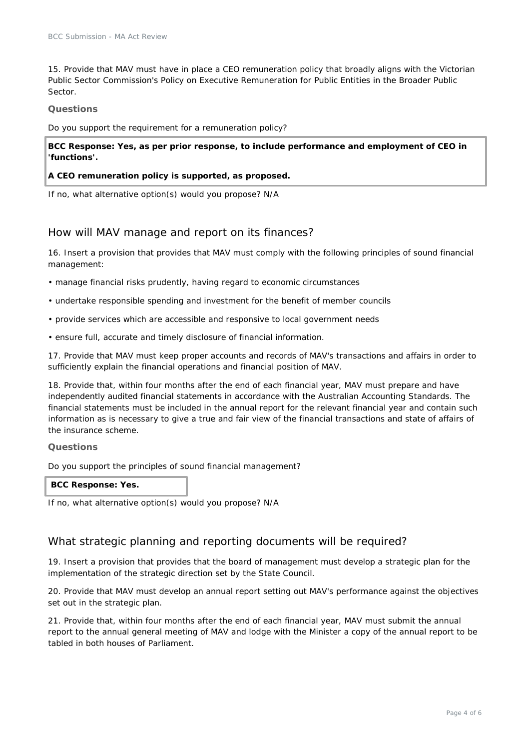15. Provide that MAV must have in place a CEO remuneration policy that broadly aligns with the Victorian Public Sector Commission's Policy on Executive Remuneration for Public Entities in the Broader Public Sector.

#### **Questions**

Do you support the requirement for a remuneration policy?

**BCC Response: Yes, as per prior response, to include performance and employment of CEO in 'functions'.** 

#### **A CEO remuneration policy is supported, as proposed.**

If no, what alternative option(s) would you propose? N/A

# How will MAV manage and report on its finances?

16. Insert a provision that provides that MAV must comply with the following principles of sound financial management:

- manage financial risks prudently, having regard to economic circumstances
- undertake responsible spending and investment for the benefit of member councils
- provide services which are accessible and responsive to local government needs
- ensure full, accurate and timely disclosure of financial information.

17. Provide that MAV must keep proper accounts and records of MAV's transactions and affairs in order to sufficiently explain the financial operations and financial position of MAV.

18. Provide that, within four months after the end of each financial year, MAV must prepare and have independently audited financial statements in accordance with the Australian Accounting Standards. The financial statements must be included in the annual report for the relevant financial year and contain such information as is necessary to give a true and fair view of the financial transactions and state of affairs of the insurance scheme.

#### **Questions**

Do you support the principles of sound financial management?

#### **BCC Response: Yes.**

If no, what alternative option(s) would you propose? N/A

# What strategic planning and reporting documents will be required?

19. Insert a provision that provides that the board of management must develop a strategic plan for the implementation of the strategic direction set by the State Council.

20. Provide that MAV must develop an annual report setting out MAV's performance against the objectives set out in the strategic plan.

21. Provide that, within four months after the end of each financial year, MAV must submit the annual report to the annual general meeting of MAV and lodge with the Minister a copy of the annual report to be tabled in both houses of Parliament.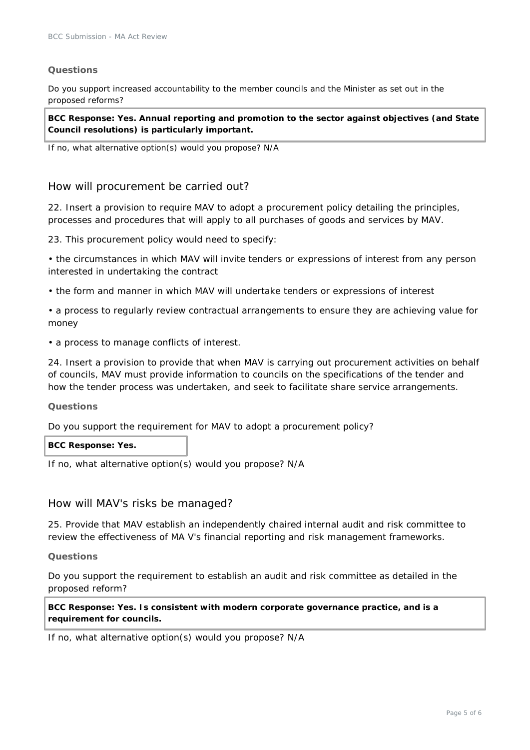# **Questions**

Do you support increased accountability to the member councils and the Minister as set out in the proposed reforms?

**BCC Response: Yes. Annual reporting and promotion to the sector against objectives (and State Council resolutions) is particularly important.**

If no, what alternative option(s) would you propose? N/A

# How will procurement be carried out?

22. Insert a provision to require MAV to adopt a procurement policy detailing the principles, processes and procedures that will apply to all purchases of goods and services by MAV.

23. This procurement policy would need to specify:

• the circumstances in which MAV will invite tenders or expressions of interest from any person interested in undertaking the contract

• the form and manner in which MAV will undertake tenders or expressions of interest

• a process to regularly review contractual arrangements to ensure they are achieving value for money

• a process to manage conflicts of interest.

24. Insert a provision to provide that when MAV is carrying out procurement activities on behalf of councils, MAV must provide information to councils on the specifications of the tender and how the tender process was undertaken, and seek to facilitate share service arrangements.

#### **Questions**

Do you support the requirement for MAV to adopt a procurement policy?

#### **BCC Response: Yes.**

If no, what alternative option(s) would you propose? N/A

# How will MAV's risks be managed?

25. Provide that MAV establish an independently chaired internal audit and risk committee to review the effectiveness of MA V's financial reporting and risk management frameworks.

#### **Questions**

Do you support the requirement to establish an audit and risk committee as detailed in the proposed reform?

**BCC Response: Yes. Is consistent with modern corporate governance practice, and is a requirement for councils.**

If no, what alternative option(s) would you propose? N/A